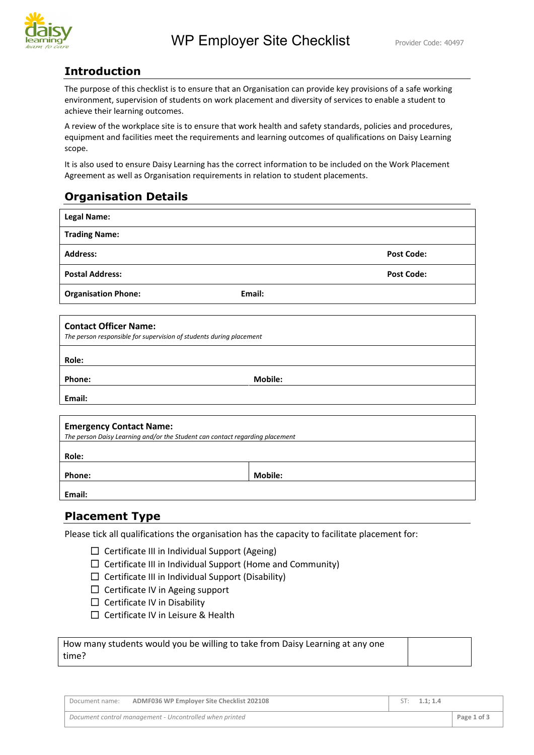

## **Introduction**

The purpose of this checklist is to ensure that an Organisation can provide key provisions of a safe working environment, supervision of students on work placement and diversity of services to enable a student to achieve their learning outcomes.

A review of the workplace site is to ensure that work health and safety standards, policies and procedures, equipment and facilities meet the requirements and learning outcomes of qualifications on Daisy Learning scope.

It is also used to ensure Daisy Learning has the correct information to be included on the Work Placement Agreement as well as Organisation requirements in relation to student placements.

## **Organisation Details**

| <b>Legal Name:</b>                                                                                             |                |                   |
|----------------------------------------------------------------------------------------------------------------|----------------|-------------------|
| <b>Trading Name:</b>                                                                                           |                |                   |
| <b>Address:</b>                                                                                                |                | <b>Post Code:</b> |
| <b>Postal Address:</b>                                                                                         |                | <b>Post Code:</b> |
| <b>Organisation Phone:</b>                                                                                     | Email:         |                   |
| <b>Contact Officer Name:</b><br>The person responsible for supervision of students during placement            |                |                   |
| Role:                                                                                                          |                |                   |
| Phone:                                                                                                         | <b>Mobile:</b> |                   |
| Email:                                                                                                         |                |                   |
| <b>Emergency Contact Name:</b><br>The person Daisy Learning and/or the Student can contact regarding placement |                |                   |
| Role:                                                                                                          |                |                   |

Phone: **Mobile: Mobile: Mobile: Mobile: Mobile: Mobile: Mobile: Mobile: Mobile: Mobile: Mobile: Mobile: Mobile: Mobile: Mobile: Mobile: Mobile: Mobile: Mobile: Mobile: Mobile: Mobi** 

**Email:**

## **Placement Type**

Please tick all qualifications the organisation has the capacity to facilitate placement for:

- ☐ Certificate III in Individual Support (Ageing)
- $\Box$  Certificate III in Individual Support (Home and Community)
- $\Box$  Certificate III in Individual Support (Disability)
- □ Certificate IV in Ageing support
- ☐ Certificate IV in Disability
- ☐ Certificate IV in Leisure & Health

How many students would you be willing to take from Daisy Learning at any one time?

Document name: **ADMF036 WP Employer Site Checklist 202108** ST: 1.1; 1.4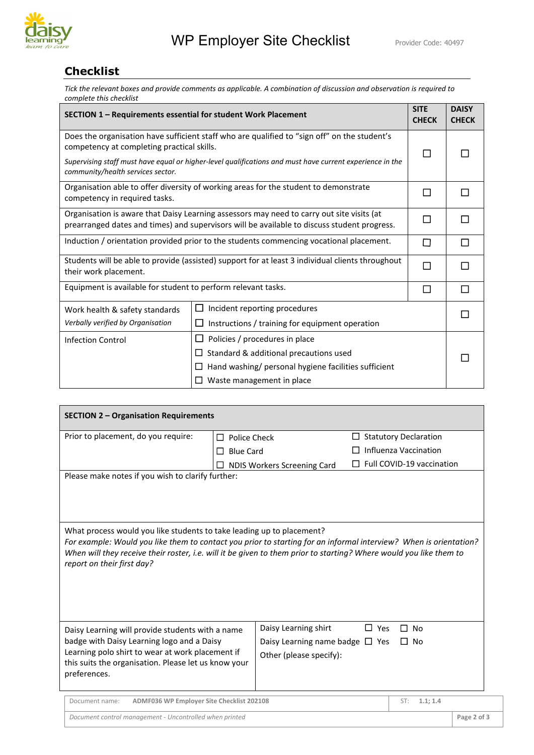

## **Checklist**

*Tick the relevant boxes and provide comments as applicable. A combination of discussion and observation is required to complete this checklist*

| SECTION 1 - Requirements essential for student Work Placement                                                                                                                            |                                                                                                          |   | <b>DAISY</b><br><b>CHECK</b> |
|------------------------------------------------------------------------------------------------------------------------------------------------------------------------------------------|----------------------------------------------------------------------------------------------------------|---|------------------------------|
| Does the organisation have sufficient staff who are qualified to "sign off" on the student's<br>competency at completing practical skills.                                               |                                                                                                          |   |                              |
| community/health services sector.                                                                                                                                                        | Supervising staff must have equal or higher-level qualifications and must have current experience in the | П |                              |
| Organisation able to offer diversity of working areas for the student to demonstrate<br>competency in required tasks.                                                                    |                                                                                                          |   |                              |
| Organisation is aware that Daisy Learning assessors may need to carry out site visits (at<br>prearranged dates and times) and supervisors will be available to discuss student progress. |                                                                                                          |   |                              |
| Induction / orientation provided prior to the students commencing vocational placement.                                                                                                  |                                                                                                          |   |                              |
| Students will be able to provide (assisted) support for at least 3 individual clients throughout<br>their work placement.                                                                |                                                                                                          |   |                              |
| Equipment is available for student to perform relevant tasks.                                                                                                                            |                                                                                                          |   |                              |
| Work health & safety standards                                                                                                                                                           | Incident reporting procedures                                                                            |   |                              |
| Verbally verified by Organisation                                                                                                                                                        | Instructions / training for equipment operation                                                          |   |                              |
| Policies / procedures in place<br><b>Infection Control</b>                                                                                                                               |                                                                                                          |   |                              |
| Standard & additional precautions used<br>□                                                                                                                                              |                                                                                                          |   |                              |
| Hand washing/ personal hygiene facilities sufficient<br>$\overline{\phantom{a}}$                                                                                                         |                                                                                                          |   |                              |
| Waste management in place                                                                                                                                                                |                                                                                                          |   |                              |

| <b>SECTION 2 - Organisation Requirements</b>                                                                                                                                                                                                                                                                                                   |                       |                                      |            |                              |             |
|------------------------------------------------------------------------------------------------------------------------------------------------------------------------------------------------------------------------------------------------------------------------------------------------------------------------------------------------|-----------------------|--------------------------------------|------------|------------------------------|-------------|
| Prior to placement, do you require:                                                                                                                                                                                                                                                                                                            | $\Box$ Police Check   |                                      | ப          | <b>Statutory Declaration</b> |             |
|                                                                                                                                                                                                                                                                                                                                                | <b>Blue Card</b><br>□ |                                      |            | Influenza Vaccination        |             |
|                                                                                                                                                                                                                                                                                                                                                |                       | NDIS Workers Screening Card          |            | Full COVID-19 vaccination    |             |
| Please make notes if you wish to clarify further:                                                                                                                                                                                                                                                                                              |                       |                                      |            |                              |             |
| What process would you like students to take leading up to placement?<br>For example: Would you like them to contact you prior to starting for an informal interview? When is orientation?<br>When will they receive their roster, i.e. will it be given to them prior to starting? Where would you like them to<br>report on their first day? |                       |                                      |            |                              |             |
| Daisy Learning will provide students with a name                                                                                                                                                                                                                                                                                               |                       | Daisy Learning shirt                 | $\Box$ Yes | п<br><b>No</b>               |             |
| badge with Daisy Learning logo and a Daisy                                                                                                                                                                                                                                                                                                     |                       | Daisy Learning name badge $\Box$ Yes |            | $\Box$ No                    |             |
| Learning polo shirt to wear at work placement if<br>this suits the organisation. Please let us know your                                                                                                                                                                                                                                       |                       | Other (please specify):              |            |                              |             |
| preferences.                                                                                                                                                                                                                                                                                                                                   |                       |                                      |            |                              |             |
| ADMF036 WP Employer Site Checklist 202108<br>Document name:                                                                                                                                                                                                                                                                                    |                       |                                      |            | 1.1; 1.4<br>ST:              |             |
| Document control management - Uncontrolled when printed                                                                                                                                                                                                                                                                                        |                       |                                      |            |                              | Page 2 of 3 |